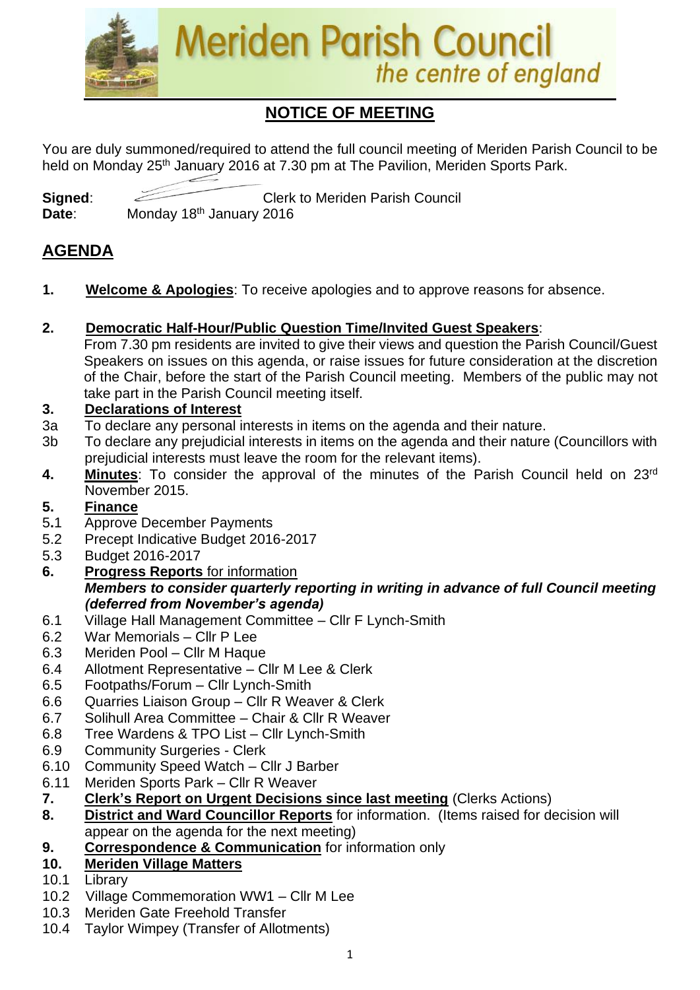

# **NOTICE OF MEETING**

You are duly summoned/required to attend the full council meeting of Meriden Parish Council to be held on Monday 25<sup>th</sup> January 2016 at 7.30 pm at The Pavilion, Meriden Sports Park.

**Signed:** Clerk to Meriden Parish Council **Date**: Monday 18th January 2016

## **AGENDA**

- **1. Welcome & Apologies**: To receive apologies and to approve reasons for absence.
- **2. Democratic Half-Hour/Public Question Time/Invited Guest Speakers**:

From 7.30 pm residents are invited to give their views and question the Parish Council/Guest Speakers on issues on this agenda, or raise issues for future consideration at the discretion of the Chair, before the start of the Parish Council meeting. Members of the public may not take part in the Parish Council meeting itself.

### **3. Declarations of Interest**

- 3a To declare any personal interests in items on the agenda and their nature.
- 3b To declare any prejudicial interests in items on the agenda and their nature (Councillors with prejudicial interests must leave the room for the relevant items).
- **4. Minutes**: To consider the approval of the minutes of the Parish Council held on 23rd November 2015.

### **5. Finance**

- 5**.**1 Approve December Payments
- 5.2 Precept Indicative Budget 2016-2017
- 5.3 Budget 2016-2017
- **6. Progress Reports** for information *Members to consider quarterly reporting in writing in advance of full Council meeting (deferred from November's agenda)*
- 6.1 Village Hall Management Committee Cllr F Lynch-Smith
- 6.2 War Memorials Cllr P Lee
- 6.3 Meriden Pool Cllr M Haque
- 6.4 Allotment Representative Cllr M Lee & Clerk
- 6.5 Footpaths/Forum Cllr Lynch-Smith
- 6.6 Quarries Liaison Group Cllr R Weaver & Clerk
- 6.7 Solihull Area Committee Chair & Cllr R Weaver
- 6.8 Tree Wardens & TPO List Cllr Lynch-Smith
- 6.9 Community Surgeries Clerk
- 6.10 Community Speed Watch Cllr J Barber
- 6.11 Meriden Sports Park Cllr R Weaver
- **7. Clerk's Report on Urgent Decisions since last meeting** (Clerks Actions)
- **8. District and Ward Councillor Reports** for information. (Items raised for decision will appear on the agenda for the next meeting)
- **9. Correspondence & Communication** for information only
- **10. Meriden Village Matters**
- 10.1 Library
- 10.2 Village Commemoration WW1 Cllr M Lee
- 10.3 Meriden Gate Freehold Transfer
- 10.4 Taylor Wimpey (Transfer of Allotments)